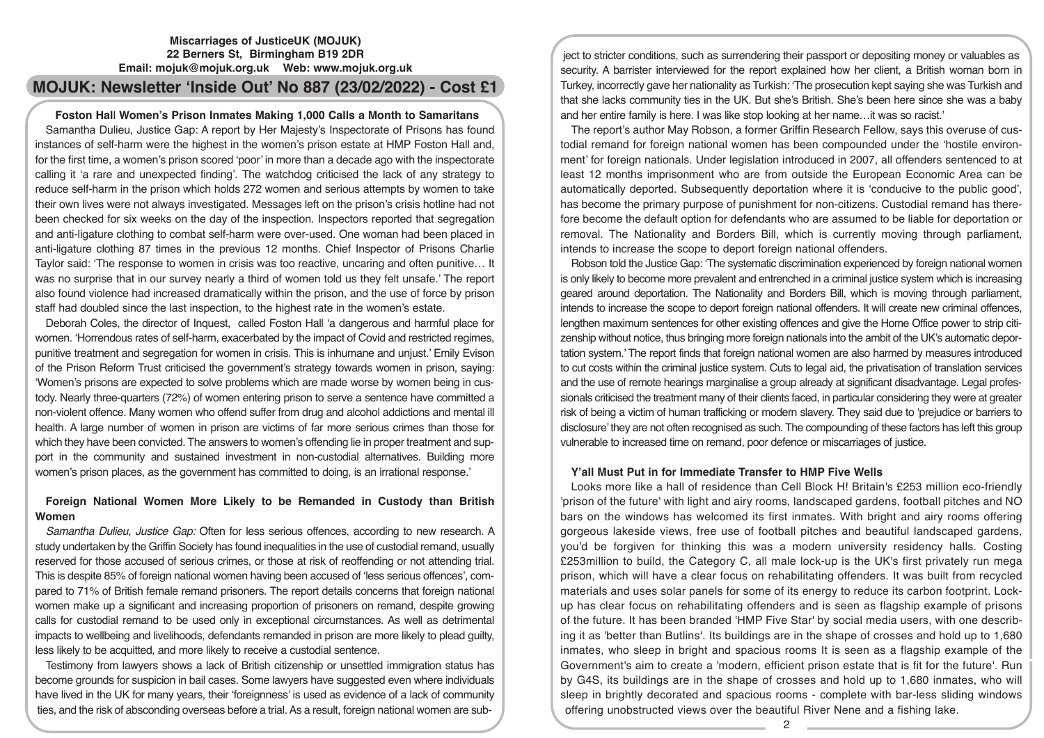# **Miscarriages of JusticeUK (MOJUK) 22 Berners St, Birmingham B19 2DR Email: mojuk@mojuk.org.uk Web: www.mojuk.org.uk**

# **MOJUK: Newsletter 'Inside Out' No 887 (23/02/2022) - Cost £1**

# **Foston Hal**l **Women's Prison Inmates Making 1,000 Calls a Month to Samaritans**

Samantha Dulieu, Justice Gap: A report by Her Majesty's Inspectorate of Prisons has found instances of self-harm were the highest in the women's prison estate at HMP Foston Hall and, for the first time, a women's prison scored 'poor' in more than a decade ago with the inspectorate calling it 'a rare and unexpected finding'. The watchdog criticised the lack of any strategy to reduce self-harm in the prison which holds 272 women and serious attempts by women to take their own lives were not always investigated. Messages left on the prison's crisis hotline had not been checked for six weeks on the day of the inspection. Inspectors reported that segregation and anti-ligature clothing to combat self-harm were over-used. One woman had been placed in anti-ligature clothing 87 times in the previous 12 months. Chief Inspector of Prisons Charlie Taylor said: 'The response to women in crisis was too reactive, uncaring and often punitive… It was no surprise that in our survey nearly a third of women told us they felt unsafe.' The report also found violence had increased dramatically within the prison, and the use of force by prison staff had doubled since the last inspection, to the highest rate in the women's estate.

Deborah Coles, the director of Inquest, called Foston Hall 'a dangerous and harmful place for women. 'Horrendous rates of self-harm, exacerbated by the impact of Covid and restricted regimes, punitive treatment and segregation for women in crisis. This is inhumane and unjust.' Emily Evison of the Prison Reform Trust criticised the government's strategy towards women in prison, saying: 'Women's prisons are expected to solve problems which are made worse by women being in custody. Nearly three-quarters (72%) of women entering prison to serve a sentence have committed a non-violent offence. Many women who offend suffer from drug and alcohol addictions and mental ill health. A large number of women in prison are victims of far more serious crimes than those for which they have been convicted. The answers to women's offending lie in proper treatment and support in the community and sustained investment in non-custodial alternatives. Building more women's prison places, as the government has committed to doing, is an irrational response.'

# **Foreign National Women More Likely to be Remanded in Custody than British Women**

*Samantha Dulieu, Justice Gap:* Often for less serious offences, according to new research. A study undertaken by the Griffin Society has found inequalities in the use of custodial remand, usually reserved for those accused of serious crimes, or those at risk of reoffending or not attending trial. This is despite 85% of foreign national women having been accused of 'less serious offences', compared to 71% of British female remand prisoners. The report details concerns that foreign national women make up a significant and increasing proportion of prisoners on remand, despite growing calls for custodial remand to be used only in exceptional circumstances. As well as detrimental impacts to wellbeing and livelihoods, defendants remanded in prison are more likely to plead guilty, less likely to be acquitted, and more likely to receive a custodial sentence.

Testimony from lawyers shows a lack of British citizenship or unsettled immigration status has become grounds for suspicion in bail cases. Some lawyers have suggested even where individuals have lived in the UK for many years, their 'foreignness' is used as evidence of a lack of community ties, and the risk of absconding overseas before a trial. As a result, foreign national women are sub-

ject to stricter conditions, such as surrendering their passport or depositing money or valuables as security. A barrister interviewed for the report explained how her client, a British woman born in Turkey, incorrectly gave her nationality as Turkish: 'The prosecution kept saying she was Turkish and that she lacks community ties in the UK. But she's British. She's been here since she was a baby and her entire family is here. I was like stop looking at her name…it was so racist.'

The report's author May Robson, a former Griffin Research Fellow, says this overuse of custodial remand for foreign national women has been compounded under the 'hostile environment' for foreign nationals. Under legislation introduced in 2007, all offenders sentenced to at least 12 months imprisonment who are from outside the European Economic Area can be automatically deported. Subsequently deportation where it is 'conducive to the public good', has become the primary purpose of punishment for non-citizens. Custodial remand has therefore become the default option for defendants who are assumed to be liable for deportation or removal. The Nationality and Borders Bill, which is currently moving through parliament, intends to increase the scope to deport foreign national offenders.

Robson told the Justice Gap: 'The systematic discrimination experienced by foreign national women is only likely to become more prevalent and entrenched in a criminal justice system which is increasing geared around deportation. The Nationality and Borders Bill, which is moving through parliament, intends to increase the scope to deport foreign national offenders. It will create new criminal offences, lengthen maximum sentences for other existing offences and give the Home Office power to strip citizenship without notice, thus bringing more foreign nationals into the ambit of the UK's automatic deportation system.' The report finds that foreign national women are also harmed by measures introduced to cut costs within the criminal justice system. Cuts to legal aid, the privatisation of translation services and the use of remote hearings marginalise a group already at significant disadvantage. Legal professionals criticised the treatment many of their clients faced, in particular considering they were at greater risk of being a victim of human trafficking or modern slavery. They said due to 'prejudice or barriers to disclosure' they are not often recognised as such. The compounding of these factors has left this group vulnerable to increased time on remand, poor defence or miscarriages of justice.

# **Y'all Must Put in for Immediate Transfer to HMP Five Wells**

Looks more like a hall of residence than Cell Block H! Britain's £253 million eco-friendly 'prison of the future' with light and airy rooms, landscaped gardens, football pitches and NO bars on the windows has welcomed its first inmates. With bright and airy rooms offering gorgeous lakeside views, free use of football pitches and beautiful landscaped gardens, you'd be forgiven for thinking this was a modern university residency halls. Costing £253million to build, the Category C, all male lock-up is the UK's first privately run mega prison, which will have a clear focus on rehabilitating offenders. It was built from recycled materials and uses solar panels for some of its energy to reduce its carbon footprint. Lockup has clear focus on rehabilitating offenders and is seen as flagship example of prisons of the future. It has been branded 'HMP Five Star' by social media users, with one describing it as 'better than Butlins'. Its buildings are in the shape of crosses and hold up to 1,680 inmates, who sleep in bright and spacious rooms It is seen as a flagship example of the Government's aim to create a 'modern, efficient prison estate that is fit for the future'. Run by G4S, its buildings are in the shape of crosses and hold up to 1,680 inmates, who will sleep in brightly decorated and spacious rooms - complete with bar-less sliding windows offering unobstructed views over the beautiful River Nene and a fishing lake.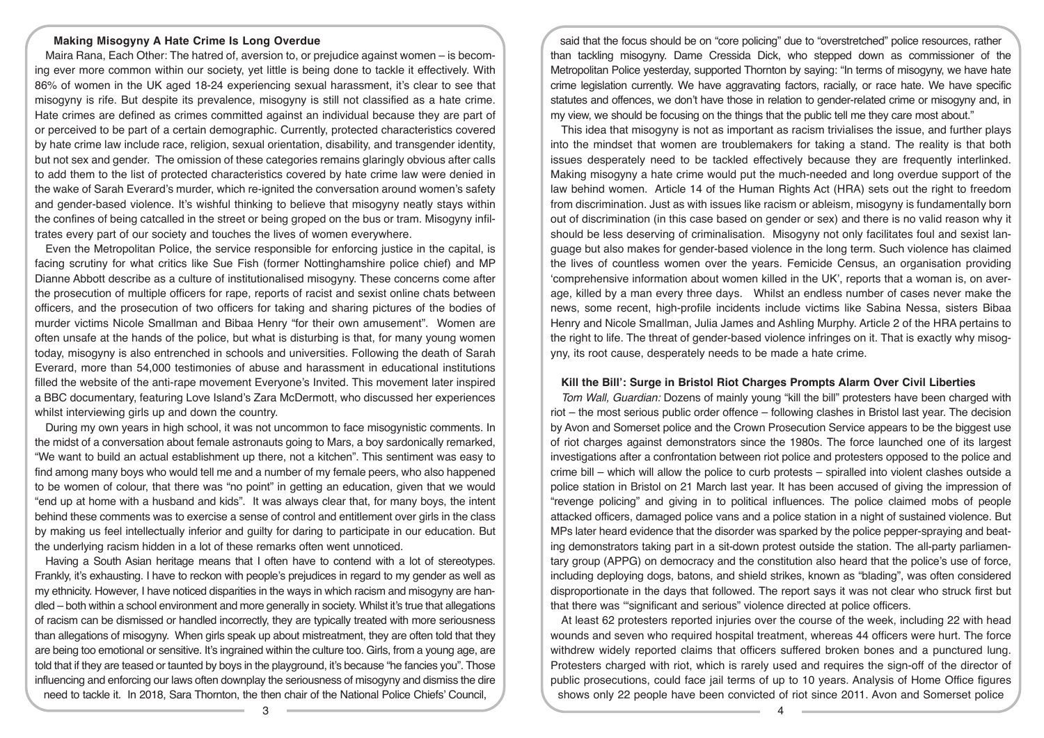# **Making Misogyny A Hate Crime Is Long Overdue**

Maira Rana, Each Other: The hatred of, aversion to, or prejudice against women – is becoming ever more common within our society, yet little is being done to tackle it effectively. With 86% of women in the UK aged 18-24 experiencing sexual harassment, it's clear to see that misogyny is rife. But despite its prevalence, misogyny is still not classified as a hate crime. Hate crimes are defined as crimes committed against an individual because they are part of or perceived to be part of a certain demographic. Currently, protected characteristics covered by hate crime law include race, religion, sexual orientation, disability, and transgender identity, but not sex and gender. The omission of these categories remains glaringly obvious after calls to add them to the list of protected characteristics covered by hate crime law were denied in the wake of Sarah Everard's murder, which re-ignited the conversation around women's safety and gender-based violence. It's wishful thinking to believe that misogyny neatly stays within the confines of being catcalled in the street or being groped on the bus or tram. Misogyny infiltrates every part of our society and touches the lives of women everywhere.

Even the Metropolitan Police, the service responsible for enforcing justice in the capital, is facing scrutiny for what critics like Sue Fish (former Nottinghamshire police chief) and MP Dianne Abbott describe as a culture of institutionalised misogyny. These concerns come after the prosecution of multiple officers for rape, reports of racist and sexist online chats between officers, and the prosecution of two officers for taking and sharing pictures of the bodies of murder victims Nicole Smallman and Bibaa Henry "for their own amusement". Women are often unsafe at the hands of the police, but what is disturbing is that, for many young women today, misogyny is also entrenched in schools and universities. Following the death of Sarah Everard, more than 54,000 testimonies of abuse and harassment in educational institutions filled the website of the anti-rape movement Everyone's Invited. This movement later inspired a BBC documentary, featuring Love Island's Zara McDermott, who discussed her experiences whilst interviewing girls up and down the country.

During my own years in high school, it was not uncommon to face misogynistic comments. In the midst of a conversation about female astronauts going to Mars, a boy sardonically remarked, "We want to build an actual establishment up there, not a kitchen". This sentiment was easy to find among many boys who would tell me and a number of my female peers, who also happened to be women of colour, that there was "no point" in getting an education, given that we would "end up at home with a husband and kids". It was always clear that, for many boys, the intent behind these comments was to exercise a sense of control and entitlement over girls in the class by making us feel intellectually inferior and guilty for daring to participate in our education. But the underlying racism hidden in a lot of these remarks often went unnoticed.

Having a South Asian heritage means that I often have to contend with a lot of stereotypes. Frankly, it's exhausting. I have to reckon with people's prejudices in regard to my gender as well as my ethnicity. However, I have noticed disparities in the ways in which racism and misogyny are handled – both within a school environment and more generally in society. Whilst it's true that allegations of racism can be dismissed or handled incorrectly, they are typically treated with more seriousness than allegations of misogyny. When girls speak up about mistreatment, they are often told that they are being too emotional or sensitive. It's ingrained within the culture too. Girls, from a young age, are told that if they are teased or taunted by boys in the playground, it's because "he fancies you". Those influencing and enforcing our laws often downplay the seriousness of misogyny and dismiss the dire need to tackle it. In 2018, Sara Thornton, the then chair of the National Police Chiefs' Council,

said that the focus should be on "core policing" due to "overstretched" police resources, rather than tackling misogyny. Dame Cressida Dick, who stepped down as commissioner of the Metropolitan Police yesterday, supported Thornton by saying: "In terms of misogyny, we have hate crime legislation currently. We have aggravating factors, racially, or race hate. We have specific statutes and offences, we don't have those in relation to gender-related crime or misogyny and, in my view, we should be focusing on the things that the public tell me they care most about."

This idea that misogyny is not as important as racism trivialises the issue, and further plays into the mindset that women are troublemakers for taking a stand. The reality is that both issues desperately need to be tackled effectively because they are frequently interlinked. Making misogyny a hate crime would put the much-needed and long overdue support of the law behind women. Article 14 of the Human Rights Act (HRA) sets out the right to freedom from discrimination. Just as with issues like racism or ableism, misogyny is fundamentally born out of discrimination (in this case based on gender or sex) and there is no valid reason why it should be less deserving of criminalisation. Misogyny not only facilitates foul and sexist language but also makes for gender-based violence in the long term. Such violence has claimed the lives of countless women over the years. Femicide Census, an organisation providing 'comprehensive information about women killed in the UK', reports that a woman is, on average, killed by a man every three days. Whilst an endless number of cases never make the news, some recent, high-profile incidents include victims like Sabina Nessa, sisters Bibaa Henry and Nicole Smallman, Julia James and Ashling Murphy. Article 2 of the HRA pertains to the right to life. The threat of gender-based violence infringes on it. That is exactly why misogyny, its root cause, desperately needs to be made a hate crime.

## **Kill the Bill': Surge in Bristol Riot Charges Prompts Alarm Over Civil Liberties**

*Tom Wall, Guardian:* Dozens of mainly young "kill the bill" protesters have been charged with riot – the most serious public order offence – following clashes in Bristol last year. The decision by Avon and Somerset police and the Crown Prosecution Service appears to be the biggest use of riot charges against demonstrators since the 1980s. The force launched one of its largest investigations after a confrontation between riot police and protesters opposed to the police and crime bill – which will allow the police to curb protests – spiralled into violent clashes outside a police station in Bristol on 21 March last year. It has been accused of giving the impression of "revenge policing" and giving in to political influences. The police claimed mobs of people attacked officers, damaged police vans and a police station in a night of sustained violence. But MPs later heard evidence that the disorder was sparked by the police pepper-spraying and beating demonstrators taking part in a sit-down protest outside the station. The all-party parliamentary group (APPG) on democracy and the constitution also heard that the police's use of force, including deploying dogs, batons, and shield strikes, known as "blading", was often considered disproportionate in the days that followed. The report says it was not clear who struck first but that there was '"significant and serious" violence directed at police officers.

At least 62 protesters reported injuries over the course of the week, including 22 with head wounds and seven who required hospital treatment, whereas 44 officers were hurt. The force withdrew widely reported claims that officers suffered broken bones and a punctured lung. Protesters charged with riot, which is rarely used and requires the sign-off of the director of public prosecutions, could face jail terms of up to 10 years. Analysis of Home Office figures shows only 22 people have been convicted of riot since 2011. Avon and Somerset police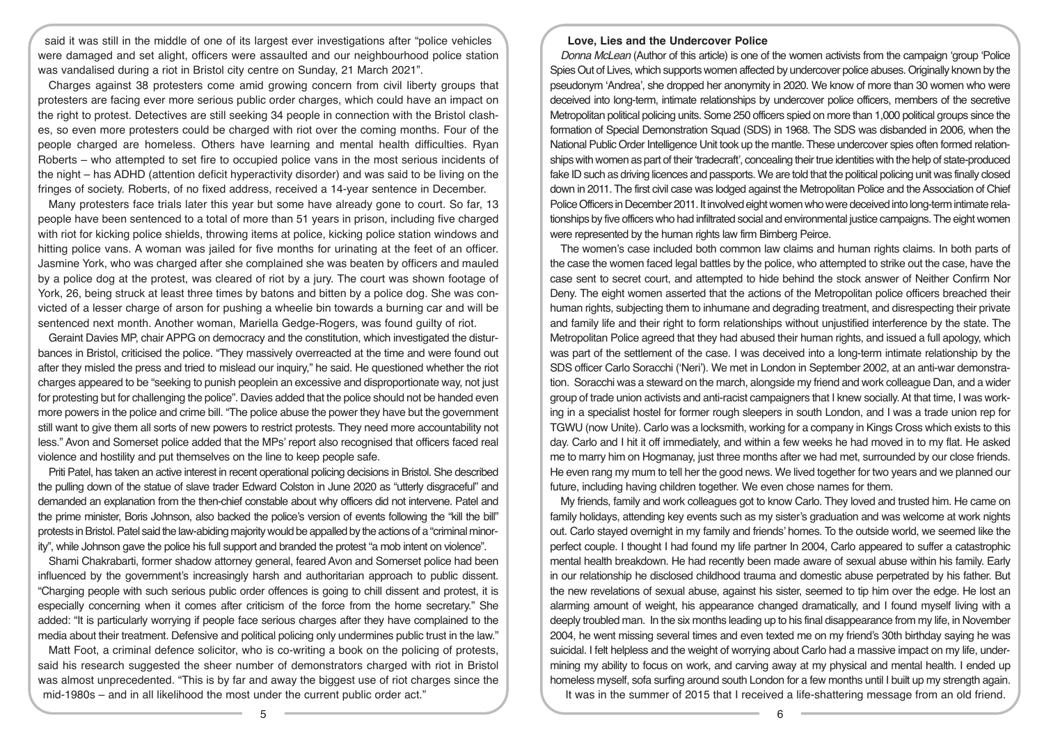said it was still in the middle of one of its largest ever investigations after "police vehicles were damaged and set alight, officers were assaulted and our neighbourhood police station was vandalised during a riot in Bristol city centre on Sunday, 21 March 2021".

Charges against 38 protesters come amid growing concern from civil liberty groups that protesters are facing ever more serious public order charges, which could have an impact on the right to protest. Detectives are still seeking 34 people in connection with the Bristol clashes, so even more protesters could be charged with riot over the coming months. Four of the people charged are homeless. Others have learning and mental health difficulties. Ryan Roberts – who attempted to set fire to occupied police vans in the most serious incidents of the night – has ADHD (attention deficit hyperactivity disorder) and was said to be living on the fringes of society. Roberts, of no fixed address, received a 14-year sentence in December.

Many protesters face trials later this year but some have already gone to court. So far, 13 people have been sentenced to a total of more than 51 years in prison, including five charged with riot for kicking police shields, throwing items at police, kicking police station windows and hitting police vans. A woman was jailed for five months for urinating at the feet of an officer. Jasmine York, who was charged after she complained she was beaten by officers and mauled by a police dog at the protest, was cleared of riot by a jury. The court was shown footage of York, 26, being struck at least three times by batons and bitten by a police dog. She was convicted of a lesser charge of arson for pushing a wheelie bin towards a burning car and will be sentenced next month. Another woman, Mariella Gedge-Rogers, was found guilty of riot.

Geraint Davies MP, chair APPG on democracy and the constitution, which investigated the disturbances in Bristol, criticised the police. "They massively overreacted at the time and were found out after they misled the press and tried to mislead our inquiry," he said. He questioned whether the riot charges appeared to be "seeking to punish peoplein an excessive and disproportionate way, not just for protesting but for challenging the police". Davies added that the police should not be handed even more powers in the police and crime bill. "The police abuse the power they have but the government still want to give them all sorts of new powers to restrict protests. They need more accountability not less." Avon and Somerset police added that the MPs' report also recognised that officers faced real violence and hostility and put themselves on the line to keep people safe.

Priti Patel, has taken an active interest in recent operational policing decisions in Bristol. She described the pulling down of the statue of slave trader Edward Colston in June 2020 as "utterly disgraceful" and demanded an explanation from the then-chief constable about why officers did not intervene. Patel and the prime minister, Boris Johnson, also backed the police's version of events following the "kill the bill" protests in Bristol. Patel said the law-abiding majority would be appalled by the actions of a "criminal minority", while Johnson gave the police his full support and branded the protest "a mob intent on violence".

Shami Chakrabarti, former shadow attorney general, feared Avon and Somerset police had been influenced by the government's increasingly harsh and authoritarian approach to public dissent. "Charging people with such serious public order offences is going to chill dissent and protest, it is especially concerning when it comes after criticism of the force from the home secretary." She added: "It is particularly worrying if people face serious charges after they have complained to the media about their treatment. Defensive and political policing only undermines public trust in the law."

Matt Foot, a criminal defence solicitor, who is co-writing a book on the policing of protests, said his research suggested the sheer number of demonstrators charged with riot in Bristol was almost unprecedented. "This is by far and away the biggest use of riot charges since the mid-1980s – and in all likelihood the most under the current public order act."

# **Love, Lies and the Undercover Police**

*Donna McLean* (Author of this article) is one of the women activists from the campaign 'group 'Police Spies Out of Lives, which supports women affected by undercover police abuses. Originally known by the pseudonym 'Andrea', she dropped her anonymity in 2020. We know of more than 30 women who were deceived into long-term, intimate relationships by undercover police officers, members of the secretive Metropolitan political policing units. Some 250 officers spied on more than 1,000 political groups since the formation of Special Demonstration Squad (SDS) in 1968. The SDS was disbanded in 2006, when the National Public Order Intelligence Unit took up the mantle. These undercover spies often formed relationships with women as part of their 'tradecraft', concealing their true identities with the help of state-produced fake ID such as driving licences and passports. We are told that the political policing unit was finally closed down in 2011. The first civil case was lodged against the Metropolitan Police and the Association of Chief Police Officers in December 2011. It involved eight women who were deceived into long-term intimate relationships by five officers who had infiltrated social and environmental justice campaigns. The eight women were represented by the human rights law firm Birnberg Peirce.

The women's case included both common law claims and human rights claims. In both parts of the case the women faced legal battles by the police, who attempted to strike out the case, have the case sent to secret court, and attempted to hide behind the stock answer of Neither Confirm Nor Deny. The eight women asserted that the actions of the Metropolitan police officers breached their human rights, subjecting them to inhumane and degrading treatment, and disrespecting their private and family life and their right to form relationships without unjustified interference by the state. The Metropolitan Police agreed that they had abused their human rights, and issued a full apology, which was part of the settlement of the case. I was deceived into a long-term intimate relationship by the SDS officer Carlo Soracchi ('Neri'). We met in London in September 2002, at an anti-war demonstration. Soracchi was a steward on the march, alongside my friend and work colleague Dan, and a wider group of trade union activists and anti-racist campaigners that I knew socially. At that time, I was working in a specialist hostel for former rough sleepers in south London, and I was a trade union rep for TGWU (now Unite). Carlo was a locksmith, working for a company in Kings Cross which exists to this day. Carlo and I hit it off immediately, and within a few weeks he had moved in to my flat. He asked me to marry him on Hogmanay, just three months after we had met, surrounded by our close friends. He even rang my mum to tell her the good news. We lived together for two years and we planned our future, including having children together. We even chose names for them.

My friends, family and work colleagues got to know Carlo. They loved and trusted him. He came on family holidays, attending key events such as my sister's graduation and was welcome at work nights out. Carlo stayed overnight in my family and friends' homes. To the outside world, we seemed like the perfect couple. I thought I had found my life partner In 2004, Carlo appeared to suffer a catastrophic mental health breakdown. He had recently been made aware of sexual abuse within his family. Early in our relationship he disclosed childhood trauma and domestic abuse perpetrated by his father. But the new revelations of sexual abuse, against his sister, seemed to tip him over the edge. He lost an alarming amount of weight, his appearance changed dramatically, and I found myself living with a deeply troubled man. In the six months leading up to his final disappearance from my life, in November 2004, he went missing several times and even texted me on my friend's 30th birthday saying he was suicidal. I felt helpless and the weight of worrying about Carlo had a massive impact on my life, undermining my ability to focus on work, and carving away at my physical and mental health. I ended up homeless myself, sofa surfing around south London for a few months until I built up my strength again. It was in the summer of 2015 that I received a life-shattering message from an old friend.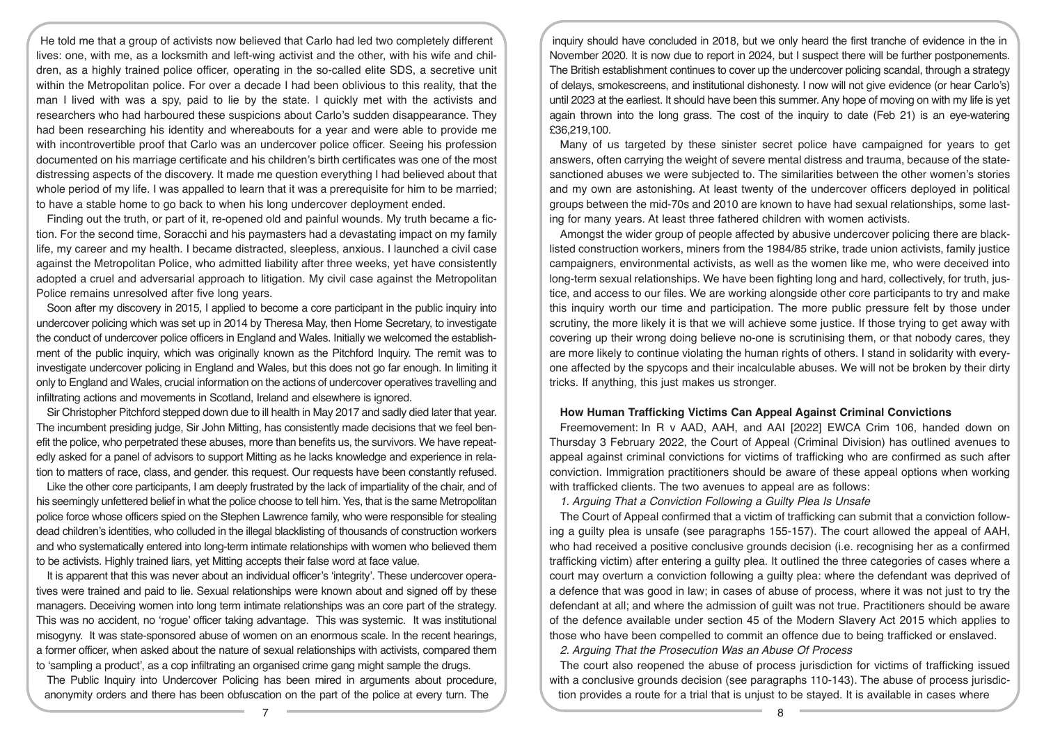He told me that a group of activists now believed that Carlo had led two completely different lives: one, with me, as a locksmith and left-wing activist and the other, with his wife and children, as a highly trained police officer, operating in the so-called elite SDS, a secretive unit within the Metropolitan police. For over a decade I had been oblivious to this reality, that the man I lived with was a spy, paid to lie by the state. I quickly met with the activists and researchers who had harboured these suspicions about Carlo's sudden disappearance. They had been researching his identity and whereabouts for a year and were able to provide me with incontrovertible proof that Carlo was an undercover police officer. Seeing his profession documented on his marriage certificate and his children's birth certificates was one of the most distressing aspects of the discovery. It made me question everything I had believed about that whole period of my life. I was appalled to learn that it was a prerequisite for him to be married; to have a stable home to go back to when his long undercover deployment ended.

Finding out the truth, or part of it, re-opened old and painful wounds. My truth became a fiction. For the second time, Soracchi and his paymasters had a devastating impact on my family life, my career and my health. I became distracted, sleepless, anxious. I launched a civil case against the Metropolitan Police, who admitted liability after three weeks, yet have consistently adopted a cruel and adversarial approach to litigation. My civil case against the Metropolitan Police remains unresolved after five long years.

Soon after my discovery in 2015, I applied to become a core participant in the public inquiry into undercover policing which was set up in 2014 by Theresa May, then Home Secretary, to investigate the conduct of undercover police officers in England and Wales. Initially we welcomed the establishment of the public inquiry, which was originally known as the Pitchford Inquiry. The remit was to investigate undercover policing in England and Wales, but this does not go far enough. In limiting it only to England and Wales, crucial information on the actions of undercover operatives travelling and infiltrating actions and movements in Scotland, Ireland and elsewhere is ignored.

Sir Christopher Pitchford stepped down due to ill health in May 2017 and sadly died later that year. The incumbent presiding judge, Sir John Mitting, has consistently made decisions that we feel benefit the police, who perpetrated these abuses, more than benefits us, the survivors. We have repeatedly asked for a panel of advisors to support Mitting as he lacks knowledge and experience in relation to matters of race, class, and gender. this request. Our requests have been constantly refused.

Like the other core participants, I am deeply frustrated by the lack of impartiality of the chair, and of his seemingly unfettered belief in what the police choose to tell him. Yes, that is the same Metropolitan police force whose officers spied on the Stephen Lawrence family, who were responsible for stealing dead children's identities, who colluded in the illegal blacklisting of thousands of construction workers and who systematically entered into long-term intimate relationships with women who believed them to be activists. Highly trained liars, yet Mitting accepts their false word at face value.

It is apparent that this was never about an individual officer's 'integrity'. These undercover operatives were trained and paid to lie. Sexual relationships were known about and signed off by these managers. Deceiving women into long term intimate relationships was an core part of the strategy. This was no accident, no 'rogue' officer taking advantage. This was systemic. It was institutional misogyny. It was state-sponsored abuse of women on an enormous scale. In the recent hearings, a former officer, when asked about the nature of sexual relationships with activists, compared them to 'sampling a product', as a cop infiltrating an organised crime gang might sample the drugs.

The Public Inquiry into Undercover Policing has been mired in arguments about procedure, anonymity orders and there has been obfuscation on the part of the police at every turn. The

inquiry should have concluded in 2018, but we only heard the first tranche of evidence in the in November 2020. It is now due to report in 2024, but I suspect there will be further postponements. The British establishment continues to cover up the undercover policing scandal, through a strategy of delays, smokescreens, and institutional dishonesty. I now will not give evidence (or hear Carlo's) until 2023 at the earliest. It should have been this summer. Any hope of moving on with my life is yet again thrown into the long grass. The cost of the inquiry to date (Feb 21) is an eye-watering £36,219,100.

Many of us targeted by these sinister secret police have campaigned for years to get answers, often carrying the weight of severe mental distress and trauma, because of the statesanctioned abuses we were subjected to. The similarities between the other women's stories and my own are astonishing. At least twenty of the undercover officers deployed in political groups between the mid-70s and 2010 are known to have had sexual relationships, some lasting for many years. At least three fathered children with women activists.

Amongst the wider group of people affected by abusive undercover policing there are blacklisted construction workers, miners from the 1984/85 strike, trade union activists, family justice campaigners, environmental activists, as well as the women like me, who were deceived into long-term sexual relationships. We have been fighting long and hard, collectively, for truth, justice, and access to our files. We are working alongside other core participants to try and make this inquiry worth our time and participation. The more public pressure felt by those under scrutiny, the more likely it is that we will achieve some justice. If those trying to get away with covering up their wrong doing believe no-one is scrutinising them, or that nobody cares, they are more likely to continue violating the human rights of others. I stand in solidarity with everyone affected by the spycops and their incalculable abuses. We will not be broken by their dirty tricks. If anything, this just makes us stronger.

## **How Human Trafficking Victims Can Appeal Against Criminal Convictions**

Freemovement: In R v AAD, AAH, and AAI [2022] EWCA Crim 106, handed down on Thursday 3 February 2022, the Court of Appeal (Criminal Division) has outlined avenues to appeal against criminal convictions for victims of trafficking who are confirmed as such after conviction. Immigration practitioners should be aware of these appeal options when working with trafficked clients. The two avenues to appeal are as follows:

*1. Arguing That a Conviction Following a Guilty Plea Is Unsafe* 

The Court of Appeal confirmed that a victim of trafficking can submit that a conviction following a guilty plea is unsafe (see paragraphs 155-157). The court allowed the appeal of AAH, who had received a positive conclusive grounds decision (i.e. recognising her as a confirmed trafficking victim) after entering a guilty plea. It outlined the three categories of cases where a court may overturn a conviction following a guilty plea: where the defendant was deprived of a defence that was good in law; in cases of abuse of process, where it was not just to try the defendant at all; and where the admission of guilt was not true. Practitioners should be aware of the defence available under section 45 of the Modern Slavery Act 2015 which applies to those who have been compelled to commit an offence due to being trafficked or enslaved.

*2. Arguing That the Prosecution Was an Abuse Of Process* 

The court also reopened the abuse of process jurisdiction for victims of trafficking issued with a conclusive grounds decision (see paragraphs 110-143). The abuse of process jurisdiction provides a route for a trial that is uniust to be staved. It is available in cases where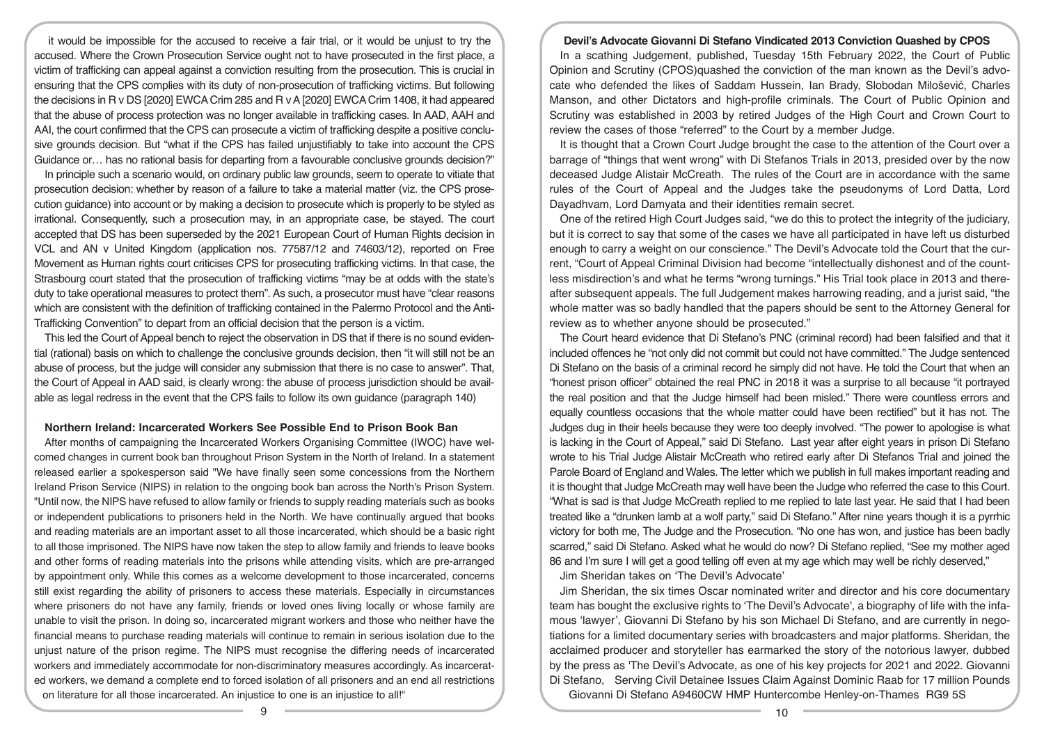it would be impossible for the accused to receive a fair trial, or it would be unjust to try the accused. Where the Crown Prosecution Service ought not to have prosecuted in the first place, a victim of trafficking can appeal against a conviction resulting from the prosecution. This is crucial in ensuring that the CPS complies with its duty of non-prosecution of trafficking victims. But following the decisions in R v DS [2020] EWCA Crim 285 and R v A [2020] EWCA Crim 1408, it had appeared that the abuse of process protection was no longer available in trafficking cases. In AAD, AAH and AAI, the court confirmed that the CPS can prosecute a victim of trafficking despite a positive conclusive grounds decision. But "what if the CPS has failed unjustifiably to take into account the CPS Guidance or… has no rational basis for departing from a favourable conclusive grounds decision?"

In principle such a scenario would, on ordinary public law grounds, seem to operate to vitiate that prosecution decision: whether by reason of a failure to take a material matter (viz. the CPS prosecution guidance) into account or by making a decision to prosecute which is properly to be styled as irrational. Consequently, such a prosecution may, in an appropriate case, be stayed. The court accepted that DS has been superseded by the 2021 European Court of Human Rights decision in VCL and AN v United Kingdom (application nos. 77587/12 and 74603/12), reported on Free Movement as Human rights court criticises CPS for prosecuting trafficking victims. In that case, the Strasbourg court stated that the prosecution of trafficking victims "may be at odds with the state's duty to take operational measures to protect them". As such, a prosecutor must have "clear reasons which are consistent with the definition of trafficking contained in the Palermo Protocol and the Anti-Trafficking Convention" to depart from an official decision that the person is a victim.

This led the Court of Appeal bench to reject the observation in DS that if there is no sound evidential (rational) basis on which to challenge the conclusive grounds decision, then "it will still not be an abuse of process, but the judge will consider any submission that there is no case to answer". That, the Court of Appeal in AAD said, is clearly wrong: the abuse of process jurisdiction should be available as legal redress in the event that the CPS fails to follow its own guidance (paragraph 140)

#### **Northern Ireland: Incarcerated Workers See Possible End to Prison Book Ban**

After months of campaigning the Incarcerated Workers Organising Committee (IWOC) have welcomed changes in current book ban throughout Prison System in the North of Ireland. In a statement released earlier a spokesperson said "We have finally seen some concessions from the Northern Ireland Prison Service (NIPS) in relation to the ongoing book ban across the North's Prison System. "Until now, the NIPS have refused to allow family or friends to supply reading materials such as books or independent publications to prisoners held in the North. We have continually argued that books and reading materials are an important asset to all those incarcerated, which should be a basic right to all those imprisoned. The NIPS have now taken the step to allow family and friends to leave books and other forms of reading materials into the prisons while attending visits, which are pre-arranged by appointment only. While this comes as a welcome development to those incarcerated, concerns still exist regarding the ability of prisoners to access these materials. Especially in circumstances where prisoners do not have any family, friends or loved ones living locally or whose family are unable to visit the prison. In doing so, incarcerated migrant workers and those who neither have the financial means to purchase reading materials will continue to remain in serious isolation due to the unjust nature of the prison regime. The NIPS must recognise the differing needs of incarcerated workers and immediately accommodate for non-discriminatory measures accordingly. As incarcerated workers, we demand a complete end to forced isolation of all prisoners and an end all restrictions on literature for all those incarcerated. An injustice to one is an injustice to all!"

#### **Devil's Advocate Giovanni Di Stefano Vindicated 2013 Conviction Quashed by CPOS**

In a scathing Judgement, published, Tuesday 15th February 2022, the Court of Public Opinion and Scrutiny (CPOS)quashed the conviction of the man known as the Devil's advocate who defended the likes of Saddam Hussein, Ian Brady, Slobodan Milošević, Charles Manson, and other Dictators and high-profile criminals. The Court of Public Opinion and Scrutiny was established in 2003 by retired Judges of the High Court and Crown Court to review the cases of those "referred" to the Court by a member Judge.

It is thought that a Crown Court Judge brought the case to the attention of the Court over a barrage of "things that went wrong" with Di Stefanos Trials in 2013, presided over by the now deceased Judge Alistair McCreath. The rules of the Court are in accordance with the same rules of the Court of Appeal and the Judges take the pseudonyms of Lord Datta, Lord Dayadhvam, Lord Damyata and their identities remain secret.

One of the retired High Court Judges said, "we do this to protect the integrity of the judiciary, but it is correct to say that some of the cases we have all participated in have left us disturbed enough to carry a weight on our conscience." The Devil's Advocate told the Court that the current, "Court of Appeal Criminal Division had become "intellectually dishonest and of the countless misdirection's and what he terms "wrong turnings." His Trial took place in 2013 and thereafter subsequent appeals. The full Judgement makes harrowing reading, and a jurist said, "the whole matter was so badly handled that the papers should be sent to the Attorney General for review as to whether anyone should be prosecuted."

The Court heard evidence that Di Stefano's PNC (criminal record) had been falsified and that it included offences he "not only did not commit but could not have committed." The Judge sentenced Di Stefano on the basis of a criminal record he simply did not have. He told the Court that when an "honest prison officer" obtained the real PNC in 2018 it was a surprise to all because "it portrayed the real position and that the Judge himself had been misled." There were countless errors and equally countless occasions that the whole matter could have been rectified" but it has not. The Judges dug in their heels because they were too deeply involved. "The power to apologise is what is lacking in the Court of Appeal," said Di Stefano. Last year after eight years in prison Di Stefano wrote to his Trial Judge Alistair McCreath who retired early after Di Stefanos Trial and joined the Parole Board of England and Wales. The letter which we publish in full makes important reading and it is thought that Judge McCreath may well have been the Judge who referred the case to this Court. "What is sad is that Judge McCreath replied to me replied to late last year. He said that I had been treated like a "drunken lamb at a wolf party," said Di Stefano." After nine years though it is a pyrrhic victory for both me, The Judge and the Prosecution. "No one has won, and justice has been badly scarred," said Di Stefano. Asked what he would do now? Di Stefano replied, "See my mother aged 86 and I'm sure I will get a good telling off even at my age which may well be richly deserved,"

Jim Sheridan takes on 'The Devil's Advocate'

Jim Sheridan, the six times Oscar nominated writer and director and his core documentary team has bought the exclusive rights to 'The Devil's Advocate', a biography of life with the infamous 'lawyer', Giovanni Di Stefano by his son Michael Di Stefano, and are currently in negotiations for a limited documentary series with broadcasters and major platforms. Sheridan, the acclaimed producer and storyteller has earmarked the story of the notorious lawyer, dubbed by the press as 'The Devil's Advocate, as one of his key projects for 2021 and 2022. Giovanni Di Stefano, Serving Civil Detainee Issues Claim Against Dominic Raab for 17 million Pounds Giovanni Di Stefano A9460CW HMP Huntercombe Henley-on-Thames RG9 5S